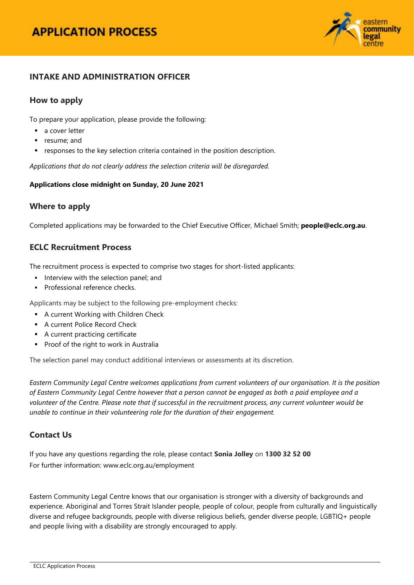

### **INTAKE AND ADMINISTRATION OFFICER**

### **How to apply**

To prepare your application, please provide the following:

- a cover letter
- **•** resume; and
- responses to the key selection criteria contained in the position description.

*Applications that do not clearly address the selection criteria will be disregarded.*

#### **Applications close midnight on Sunday, 20 June 2021**

### **Where to apply**

Completed applications may be forwarded to the Chief Executive Officer, Michael Smith; **[people@eclc.org.au](mailto:people@eclc.org.au)**.

### **ECLC Recruitment Process**

The recruitment process is expected to comprise two stages for short-listed applicants:

- **Interview with the selection panel; and**
- Professional reference checks.

Applicants may be subject to the following pre-employment checks:

- **A current Working with Children Check**
- **A current Police Record Check**
- A current practicing certificate
- **Proof of the right to work in Australia**

The selection panel may conduct additional interviews or assessments at its discretion.

*Eastern Community Legal Centre welcomes applications from current volunteers of our organisation. It is the position of Eastern Community Legal Centre however that a person cannot be engaged as both a paid employee and a volunteer of the Centre. Please note that if successful in the recruitment process, any current volunteer would be unable to continue in their volunteering role for the duration of their engagement.*

### **Contact Us**

If you have any questions regarding the role, please contact **Sonia Jolley** on **1300 32 52 00** For further information: [www.eclc.org.au/employment](http://www.eclc.org.au/employment)

Eastern Community Legal Centre knows that our organisation is stronger with a diversity of backgrounds and experience. Aboriginal and Torres Strait Islander people, people of colour, people from culturally and linguistically diverse and refugee backgrounds, people with diverse religious beliefs, gender diverse people, LGBTIQ+ people and people living with a disability are strongly encouraged to apply.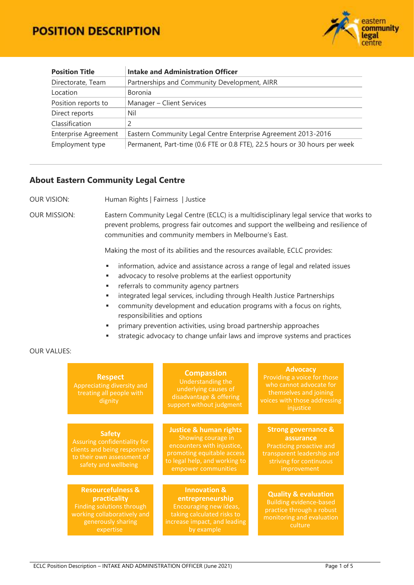

| <b>Position Title</b>       | <b>Intake and Administration Officer</b>                                   |  |
|-----------------------------|----------------------------------------------------------------------------|--|
| Directorate, Team           | Partnerships and Community Development, AIRR                               |  |
| Location                    | Boronia                                                                    |  |
| Position reports to         | Manager - Client Services                                                  |  |
| Direct reports              | Nil                                                                        |  |
| Classification              | 2                                                                          |  |
| <b>Enterprise Agreement</b> | Eastern Community Legal Centre Enterprise Agreement 2013-2016              |  |
| Employment type             | Permanent, Part-time (0.6 FTE or 0.8 FTE), 22.5 hours or 30 hours per week |  |

### **About Eastern Community Legal Centre**

OUR VISION: Human Rights | Fairness | Justice

OUR MISSION: Eastern Community Legal Centre (ECLC) is a multidisciplinary legal service that works to prevent problems, progress fair outcomes and support the wellbeing and resilience of communities and community members in Melbourne's East.

Making the most of its abilities and the resources available, ECLC provides:

- **information, advice and assistance across a range of legal and related issues**
- **advocacy to resolve problems at the earliest opportunity**
- **Fig. 2** referrals to community agency partners
- **EXEDENT Integrated legal services, including through Health Justice Partnerships**
- community development and education programs with a focus on rights, responsibilities and options
- primary prevention activities, using broad partnership approaches
- strategic advocacy to change unfair laws and improve systems and practices

#### OUR VALUES:

| <b>Respect</b><br>Appreciating diversity and<br>treating all people with<br>dignity                                                         | <b>Compassion</b><br>Understanding the<br>underlying causes of<br>disadvantage & offering<br>support without judgment                                                       | <b>Advocacy</b><br>Providing a voice for those<br>who cannot advocate for<br>themselves and joining<br>voices with those addressing<br>injustice |
|---------------------------------------------------------------------------------------------------------------------------------------------|-----------------------------------------------------------------------------------------------------------------------------------------------------------------------------|--------------------------------------------------------------------------------------------------------------------------------------------------|
|                                                                                                                                             |                                                                                                                                                                             |                                                                                                                                                  |
| <b>Safety</b><br>Assuring confidentiality for<br>clients and being responsive<br>to their own assessment of<br>safety and wellbeing         | <b>Justice &amp; human rights</b><br>Showing courage in<br>encounters with injustice,<br>promoting equitable access<br>to legal help, and working to<br>empower communities | <b>Strong governance &amp;</b><br>assurance<br>Practicing proactive and<br>transparent leadership and<br>striving for continuous<br>improvement  |
|                                                                                                                                             |                                                                                                                                                                             |                                                                                                                                                  |
| <b>Resourcefulness &amp;</b><br>practicality<br>Finding solutions through<br>working collaboratively and<br>generously sharing<br>expertise | <b>Innovation &amp;</b><br>entrepreneurship<br>Encouraging new ideas,<br>taking calculated risks to<br>increase impact, and leading<br>by example                           | <b>Quality &amp; evaluation</b><br><b>Building evidence-based</b><br>practice through a robust<br>monitoring and evaluation<br>culture           |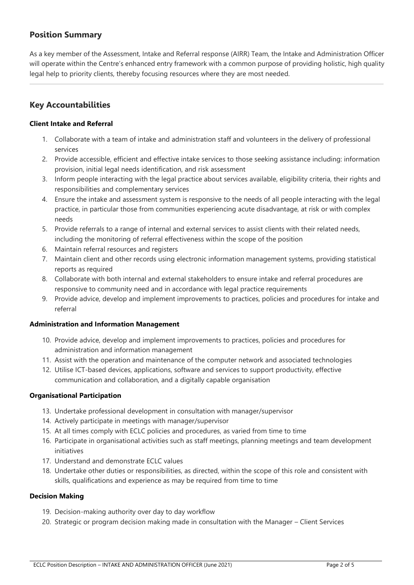## **Position Summary**

As a key member of the Assessment, Intake and Referral response (AIRR) Team, the Intake and Administration Officer will operate within the Centre's enhanced entry framework with a common purpose of providing holistic, high quality legal help to priority clients, thereby focusing resources where they are most needed.

# **Key Accountabilities**

#### **Client Intake and Referral**

- 1. Collaborate with a team of intake and administration staff and volunteers in the delivery of professional services
- 2. Provide accessible, efficient and effective intake services to those seeking assistance including: information provision, initial legal needs identification, and risk assessment
- 3. Inform people interacting with the legal practice about services available, eligibility criteria, their rights and responsibilities and complementary services
- 4. Ensure the intake and assessment system is responsive to the needs of all people interacting with the legal practice, in particular those from communities experiencing acute disadvantage, at risk or with complex needs
- 5. Provide referrals to a range of internal and external services to assist clients with their related needs, including the monitoring of referral effectiveness within the scope of the position
- 6. Maintain referral resources and registers
- 7. Maintain client and other records using electronic information management systems, providing statistical reports as required
- 8. Collaborate with both internal and external stakeholders to ensure intake and referral procedures are responsive to community need and in accordance with legal practice requirements
- 9. Provide advice, develop and implement improvements to practices, policies and procedures for intake and referral

#### **Administration and Information Management**

- 10. Provide advice, develop and implement improvements to practices, policies and procedures for administration and information management
- 11. Assist with the operation and maintenance of the computer network and associated technologies
- 12. Utilise ICT-based devices, applications, software and services to support productivity, effective communication and collaboration, and a digitally capable organisation

#### **Organisational Participation**

- 13. Undertake professional development in consultation with manager/supervisor
- 14. Actively participate in meetings with manager/supervisor
- 15. At all times comply with ECLC policies and procedures, as varied from time to time
- 16. Participate in organisational activities such as staff meetings, planning meetings and team development initiatives
- 17. Understand and demonstrate ECLC values
- 18. Undertake other duties or responsibilities, as directed, within the scope of this role and consistent with skills, qualifications and experience as may be required from time to time

#### **Decision Making**

- 19. Decision-making authority over day to day workflow
- 20. Strategic or program decision making made in consultation with the Manager Client Services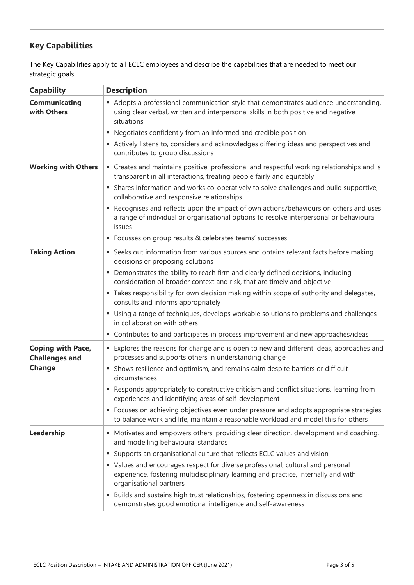# **Key Capabilities**

The Key Capabilities apply to all ECLC employees and describe the capabilities that are needed to meet our strategic goals.

| <b>Capability</b>                                 | <b>Description</b>                                                                                                                                                                               |
|---------------------------------------------------|--------------------------------------------------------------------------------------------------------------------------------------------------------------------------------------------------|
| <b>Communicating</b><br>with Others               | • Adopts a professional communication style that demonstrates audience understanding,<br>using clear verbal, written and interpersonal skills in both positive and negative<br>situations        |
|                                                   | • Negotiates confidently from an informed and credible position                                                                                                                                  |
|                                                   | Actively listens to, considers and acknowledges differing ideas and perspectives and<br>contributes to group discussions                                                                         |
| <b>Working with Others</b>                        | • Creates and maintains positive, professional and respectful working relationships and is<br>transparent in all interactions, treating people fairly and equitably                              |
|                                                   | Shares information and works co-operatively to solve challenges and build supportive,<br>ш<br>collaborative and responsive relationships                                                         |
|                                                   | Recognises and reflects upon the impact of own actions/behaviours on others and uses<br>a range of individual or organisational options to resolve interpersonal or behavioural<br>issues        |
|                                                   | • Focusses on group results & celebrates teams' successes                                                                                                                                        |
| <b>Taking Action</b>                              | • Seeks out information from various sources and obtains relevant facts before making<br>decisions or proposing solutions                                                                        |
|                                                   | Demonstrates the ability to reach firm and clearly defined decisions, including<br>ш<br>consideration of broader context and risk, that are timely and objective                                 |
|                                                   | " Takes responsibility for own decision making within scope of authority and delegates,<br>consults and informs appropriately                                                                    |
|                                                   | • Using a range of techniques, develops workable solutions to problems and challenges<br>in collaboration with others                                                                            |
|                                                   | • Contributes to and participates in process improvement and new approaches/ideas                                                                                                                |
| <b>Coping with Pace,</b><br><b>Challenges and</b> | • Explores the reasons for change and is open to new and different ideas, approaches and<br>processes and supports others in understanding change                                                |
| <b>Change</b>                                     | Shows resilience and optimism, and remains calm despite barriers or difficult<br>٠<br>circumstances                                                                                              |
|                                                   | • Responds appropriately to constructive criticism and conflict situations, learning from<br>experiences and identifying areas of self-development                                               |
|                                                   | • Focuses on achieving objectives even under pressure and adopts appropriate strategies<br>to balance work and life, maintain a reasonable workload and model this for others                    |
| Leadership                                        | • Motivates and empowers others, providing clear direction, development and coaching,<br>and modelling behavioural standards                                                                     |
|                                                   | Supports an organisational culture that reflects ECLC values and vision<br>ш                                                                                                                     |
|                                                   | • Values and encourages respect for diverse professional, cultural and personal<br>experience, fostering multidisciplinary learning and practice, internally and with<br>organisational partners |
|                                                   | Builds and sustains high trust relationships, fostering openness in discussions and<br>ш<br>demonstrates good emotional intelligence and self-awareness                                          |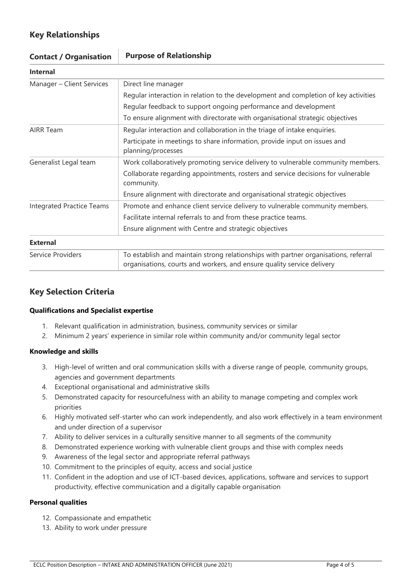# **Key Relationships**

| <b>Contact / Organisation</b>    | <b>Purpose of Relationship</b>                                                                                                                                |  |
|----------------------------------|---------------------------------------------------------------------------------------------------------------------------------------------------------------|--|
| <b>Internal</b>                  |                                                                                                                                                               |  |
| Manager - Client Services        | Direct line manager                                                                                                                                           |  |
|                                  | Regular interaction in relation to the development and completion of key activities                                                                           |  |
|                                  | Regular feedback to support ongoing performance and development                                                                                               |  |
|                                  | To ensure alignment with directorate with organisational strategic objectives                                                                                 |  |
| <b>AIRR Team</b>                 | Regular interaction and collaboration in the triage of intake enquiries.                                                                                      |  |
|                                  | Participate in meetings to share information, provide input on issues and<br>planning/processes                                                               |  |
| Generalist Legal team            | Work collaboratively promoting service delivery to vulnerable community members.                                                                              |  |
|                                  | Collaborate regarding appointments, rosters and service decisions for vulnerable<br>community.                                                                |  |
|                                  | Ensure alignment with directorate and organisational strategic objectives                                                                                     |  |
| <b>Integrated Practice Teams</b> | Promote and enhance client service delivery to vulnerable community members.                                                                                  |  |
|                                  | Facilitate internal referrals to and from these practice teams.                                                                                               |  |
|                                  | Ensure alignment with Centre and strategic objectives                                                                                                         |  |
| <b>External</b>                  |                                                                                                                                                               |  |
| Service Providers                | To establish and maintain strong relationships with partner organisations, referral<br>organisations, courts and workers, and ensure quality service delivery |  |

# **Key Selection Criteria**

#### **Qualifications and Specialist expertise**

- 1. Relevant qualification in administration, business, community services or similar
- 2. Minimum 2 years' experience in similar role within community and/or community legal sector

#### **Knowledge and skills**

- 3. High-level of written and oral communication skills with a diverse range of people, community groups, agencies and government departments
- 4. Exceptional organisational and administrative skills
- 5. Demonstrated capacity for resourcefulness with an ability to manage competing and complex work priorities
- 6. Highly motivated self-starter who can work independently, and also work effectively in a team environment and under direction of a supervisor
- 7. Ability to deliver services in a culturally sensitive manner to all segments of the community
- 8. Demonstrated experience working with vulnerable client groups and thise with complex needs
- 9. Awareness of the legal sector and appropriate referral pathways
- 10. Commitment to the principles of equity, access and social justice
- 11. Confident in the adoption and use of ICT-based devices, applications, software and services to support productivity, effective communication and a digitally capable organisation

#### **Personal qualities**

- 12. Compassionate and empathetic
- 13. Ability to work under pressure